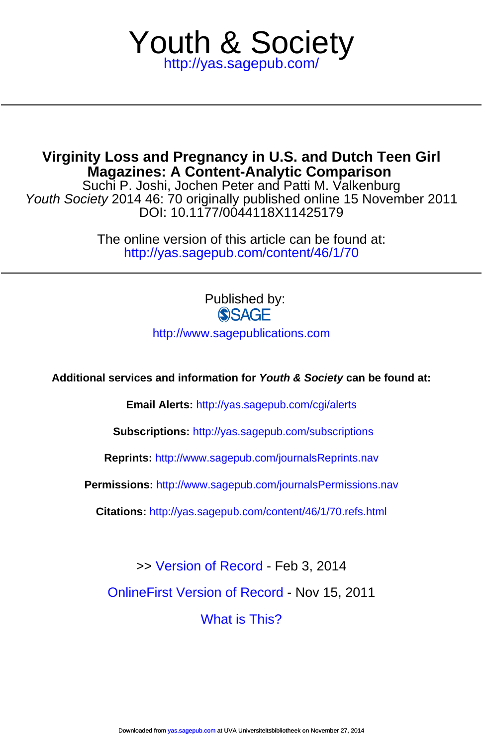# <http://yas.sagepub.com/> Youth & Society

Suchi P. Joshi, Jochen Peter and Patti M. Valkenburg **Magazines: A Content-Analytic Comparison Virginity Loss and Pregnancy in U.S. and Dutch Teen Girl**

DOI: 10.1177/0044118X11425179 Youth Society 2014 46: 70 originally published online 15 November 2011

> <http://yas.sagepub.com/content/46/1/70> The online version of this article can be found at:

> > Published by: **SSAGE** <http://www.sagepublications.com>

**Additional services and information for Youth & Society can be found at:**

**Email Alerts:** <http://yas.sagepub.com/cgi/alerts>

**Subscriptions:** <http://yas.sagepub.com/subscriptions>

**Reprints:** <http://www.sagepub.com/journalsReprints.nav>

**Permissions:** <http://www.sagepub.com/journalsPermissions.nav>

**Citations:** <http://yas.sagepub.com/content/46/1/70.refs.html>

>> [Version of Record -](http://yas.sagepub.com/content/46/1/70.full.pdf) Feb 3, 2014

[OnlineFirst Version of Record -](http://yas.sagepub.com/content/early/2011/11/11/0044118X11425179.full.pdf) Nov 15, 2011

[What is This?](http://online.sagepub.com/site/sphelp/vorhelp.xhtml)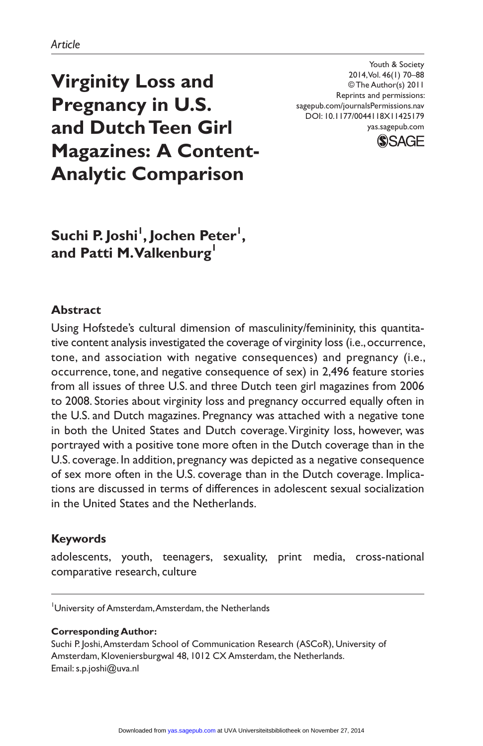**Virginity Loss and Pregnancy in U.S. and Dutch Teen Girl Magazines: A Content-Analytic Comparison**

Youth & Society 2014, Vol. 46(1) 70–88 © The Author(s) 2011 Reprints and permissions: sagepub.com/journalsPermissions.nav DOI: 10.1177/0044118X11425179 yas.sagepub.com



 $\mathsf{Suchi}\ \mathsf{P}.\ \mathsf{Joshi}^!,\ \mathsf{Jochen}\ \mathsf{Peter}^!,\ \mathsf{I}$ **and Patti M. Valkenburg1**

### **Abstract**

Using Hofstede's cultural dimension of masculinity/femininity, this quantitative content analysis investigated the coverage of virginity loss (i.e., occurrence, tone, and association with negative consequences) and pregnancy (i.e., occurrence, tone, and negative consequence of sex) in 2,496 feature stories from all issues of three U.S. and three Dutch teen girl magazines from 2006 to 2008. Stories about virginity loss and pregnancy occurred equally often in the U.S. and Dutch magazines. Pregnancy was attached with a negative tone in both the United States and Dutch coverage. Virginity loss, however, was portrayed with a positive tone more often in the Dutch coverage than in the U.S. coverage. In addition, pregnancy was depicted as a negative consequence of sex more often in the U.S. coverage than in the Dutch coverage. Implications are discussed in terms of differences in adolescent sexual socialization in the United States and the Netherlands.

### **Keywords**

adolescents, youth, teenagers, sexuality, print media, cross-national comparative research, culture

University of Amsterdam, Amsterdam, the Netherlands

#### **Corresponding Author:**

Suchi P. Joshi, Amsterdam School of Communication Research (ASCoR), University of Amsterdam, Kloveniersburgwal 48, 1012 CX Amsterdam, the Netherlands. Email: s.p.joshi@uva.nl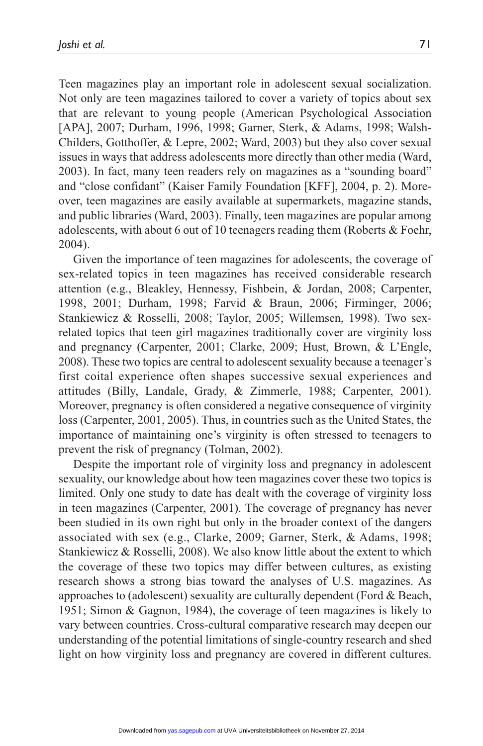Teen magazines play an important role in adolescent sexual socialization. Not only are teen magazines tailored to cover a variety of topics about sex that are relevant to young people (American Psychological Association [APA], 2007; Durham, 1996, 1998; Garner, Sterk, & Adams, 1998; Walsh-Childers, Gotthoffer, & Lepre, 2002; Ward, 2003) but they also cover sexual issues in ways that address adolescents more directly than other media (Ward, 2003). In fact, many teen readers rely on magazines as a "sounding board" and "close confidant" (Kaiser Family Foundation [KFF], 2004, p. 2). Moreover, teen magazines are easily available at supermarkets, magazine stands, and public libraries (Ward, 2003). Finally, teen magazines are popular among adolescents, with about 6 out of 10 teenagers reading them (Roberts & Foehr, 2004).

Given the importance of teen magazines for adolescents, the coverage of sex-related topics in teen magazines has received considerable research attention (e.g., Bleakley, Hennessy, Fishbein, & Jordan, 2008; Carpenter, 1998, 2001; Durham, 1998; Farvid & Braun, 2006; Firminger, 2006; Stankiewicz & Rosselli, 2008; Taylor, 2005; Willemsen, 1998). Two sexrelated topics that teen girl magazines traditionally cover are virginity loss and pregnancy (Carpenter, 2001; Clarke, 2009; Hust, Brown, & L'Engle, 2008). These two topics are central to adolescent sexuality because a teenager's first coital experience often shapes successive sexual experiences and attitudes (Billy, Landale, Grady, & Zimmerle, 1988; Carpenter, 2001). Moreover, pregnancy is often considered a negative consequence of virginity loss (Carpenter, 2001, 2005). Thus, in countries such as the United States, the importance of maintaining one's virginity is often stressed to teenagers to prevent the risk of pregnancy (Tolman, 2002).

Despite the important role of virginity loss and pregnancy in adolescent sexuality, our knowledge about how teen magazines cover these two topics is limited. Only one study to date has dealt with the coverage of virginity loss in teen magazines (Carpenter, 2001). The coverage of pregnancy has never been studied in its own right but only in the broader context of the dangers associated with sex (e.g., Clarke, 2009; Garner, Sterk, & Adams, 1998; Stankiewicz & Rosselli, 2008). We also know little about the extent to which the coverage of these two topics may differ between cultures, as existing research shows a strong bias toward the analyses of U.S. magazines. As approaches to (adolescent) sexuality are culturally dependent (Ford & Beach, 1951; Simon & Gagnon, 1984), the coverage of teen magazines is likely to vary between countries. Cross-cultural comparative research may deepen our understanding of the potential limitations of single-country research and shed light on how virginity loss and pregnancy are covered in different cultures.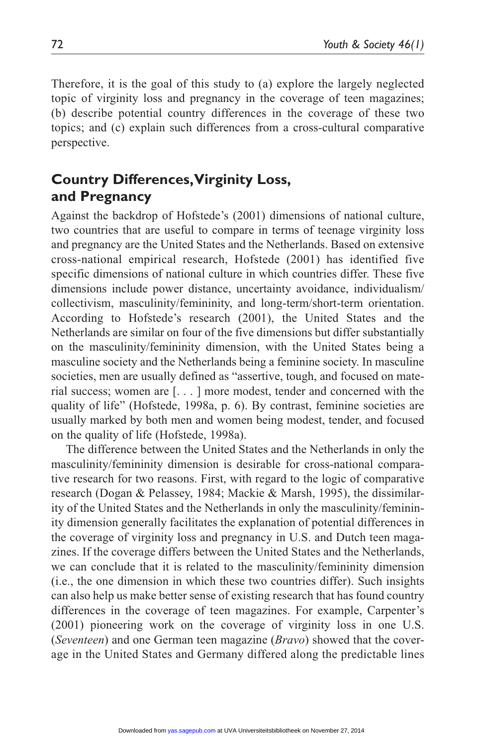Therefore, it is the goal of this study to (a) explore the largely neglected topic of virginity loss and pregnancy in the coverage of teen magazines; (b) describe potential country differences in the coverage of these two topics; and (c) explain such differences from a cross-cultural comparative perspective.

## **Country Differences, Virginity Loss, and Pregnancy**

Against the backdrop of Hofstede's (2001) dimensions of national culture, two countries that are useful to compare in terms of teenage virginity loss and pregnancy are the United States and the Netherlands. Based on extensive cross-national empirical research, Hofstede (2001) has identified five specific dimensions of national culture in which countries differ. These five dimensions include power distance, uncertainty avoidance, individualism/ collectivism, masculinity/femininity, and long-term/short-term orientation. According to Hofstede's research (2001), the United States and the Netherlands are similar on four of the five dimensions but differ substantially on the masculinity/femininity dimension, with the United States being a masculine society and the Netherlands being a feminine society. In masculine societies, men are usually defined as "assertive, tough, and focused on material success; women are [. . . ] more modest, tender and concerned with the quality of life" (Hofstede, 1998a, p. 6). By contrast, feminine societies are usually marked by both men and women being modest, tender, and focused on the quality of life (Hofstede, 1998a).

The difference between the United States and the Netherlands in only the masculinity/femininity dimension is desirable for cross-national comparative research for two reasons. First, with regard to the logic of comparative research (Dogan & Pelassey, 1984; Mackie & Marsh, 1995), the dissimilarity of the United States and the Netherlands in only the masculinity/femininity dimension generally facilitates the explanation of potential differences in the coverage of virginity loss and pregnancy in U.S. and Dutch teen magazines. If the coverage differs between the United States and the Netherlands, we can conclude that it is related to the masculinity/femininity dimension (i.e., the one dimension in which these two countries differ). Such insights can also help us make better sense of existing research that has found country differences in the coverage of teen magazines. For example, Carpenter's (2001) pioneering work on the coverage of virginity loss in one U.S. (*Seventeen*) and one German teen magazine (*Bravo*) showed that the coverage in the United States and Germany differed along the predictable lines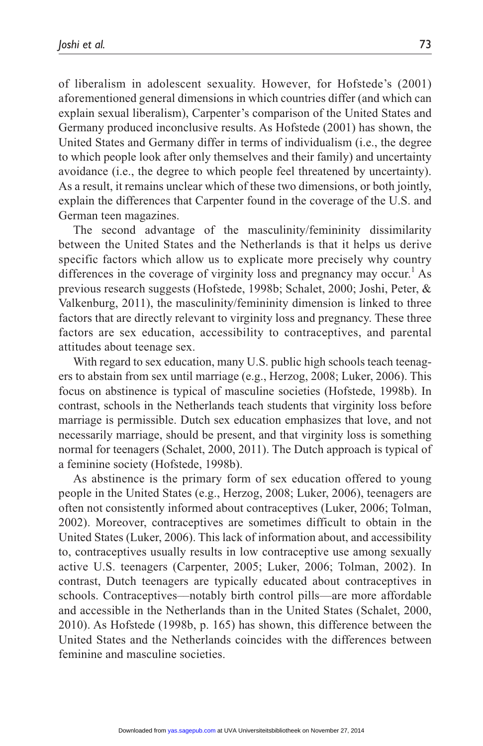of liberalism in adolescent sexuality. However, for Hofstede's (2001) aforementioned general dimensions in which countries differ (and which can explain sexual liberalism), Carpenter's comparison of the United States and Germany produced inconclusive results. As Hofstede (2001) has shown, the United States and Germany differ in terms of individualism (i.e., the degree to which people look after only themselves and their family) and uncertainty avoidance (i.e., the degree to which people feel threatened by uncertainty). As a result, it remains unclear which of these two dimensions, or both jointly, explain the differences that Carpenter found in the coverage of the U.S. and German teen magazines.

The second advantage of the masculinity/femininity dissimilarity between the United States and the Netherlands is that it helps us derive specific factors which allow us to explicate more precisely why country differences in the coverage of virginity loss and pregnancy may occur.<sup>1</sup> As previous research suggests (Hofstede, 1998b; Schalet, 2000; Joshi, Peter, & Valkenburg, 2011), the masculinity/femininity dimension is linked to three factors that are directly relevant to virginity loss and pregnancy. These three factors are sex education, accessibility to contraceptives, and parental attitudes about teenage sex.

With regard to sex education, many U.S. public high schools teach teenagers to abstain from sex until marriage (e.g., Herzog, 2008; Luker, 2006). This focus on abstinence is typical of masculine societies (Hofstede, 1998b). In contrast, schools in the Netherlands teach students that virginity loss before marriage is permissible. Dutch sex education emphasizes that love, and not necessarily marriage, should be present, and that virginity loss is something normal for teenagers (Schalet, 2000, 2011). The Dutch approach is typical of a feminine society (Hofstede, 1998b).

As abstinence is the primary form of sex education offered to young people in the United States (e.g., Herzog, 2008; Luker, 2006), teenagers are often not consistently informed about contraceptives (Luker, 2006; Tolman, 2002). Moreover, contraceptives are sometimes difficult to obtain in the United States (Luker, 2006). This lack of information about, and accessibility to, contraceptives usually results in low contraceptive use among sexually active U.S. teenagers (Carpenter, 2005; Luker, 2006; Tolman, 2002). In contrast, Dutch teenagers are typically educated about contraceptives in schools. Contraceptives––notably birth control pills––are more affordable and accessible in the Netherlands than in the United States (Schalet, 2000, 2010). As Hofstede (1998b, p. 165) has shown, this difference between the United States and the Netherlands coincides with the differences between feminine and masculine societies.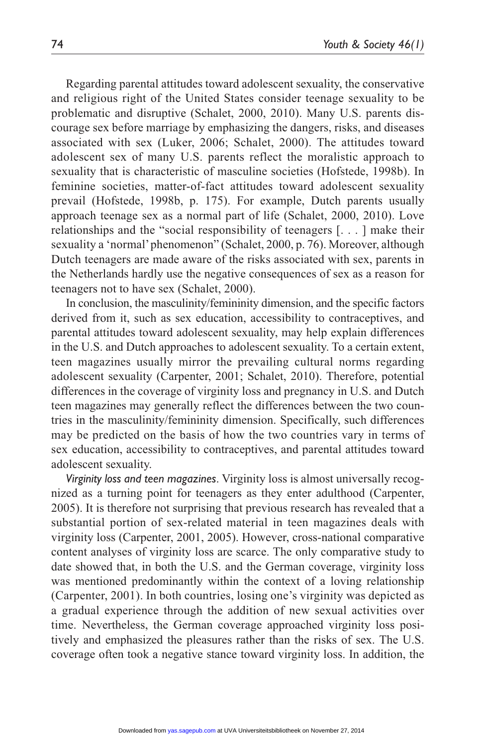Regarding parental attitudes toward adolescent sexuality, the conservative and religious right of the United States consider teenage sexuality to be problematic and disruptive (Schalet, 2000, 2010). Many U.S. parents discourage sex before marriage by emphasizing the dangers, risks, and diseases associated with sex (Luker, 2006; Schalet, 2000). The attitudes toward adolescent sex of many U.S. parents reflect the moralistic approach to sexuality that is characteristic of masculine societies (Hofstede, 1998b). In feminine societies, matter-of-fact attitudes toward adolescent sexuality prevail (Hofstede, 1998b, p. 175). For example, Dutch parents usually approach teenage sex as a normal part of life (Schalet, 2000, 2010). Love relationships and the "social responsibility of teenagers [. . . ] make their sexuality a 'normal' phenomenon" (Schalet, 2000, p. 76). Moreover, although Dutch teenagers are made aware of the risks associated with sex, parents in the Netherlands hardly use the negative consequences of sex as a reason for teenagers not to have sex (Schalet, 2000).

In conclusion, the masculinity/femininity dimension, and the specific factors derived from it, such as sex education, accessibility to contraceptives, and parental attitudes toward adolescent sexuality, may help explain differences in the U.S. and Dutch approaches to adolescent sexuality. To a certain extent, teen magazines usually mirror the prevailing cultural norms regarding adolescent sexuality (Carpenter, 2001; Schalet, 2010). Therefore, potential differences in the coverage of virginity loss and pregnancy in U.S. and Dutch teen magazines may generally reflect the differences between the two countries in the masculinity/femininity dimension. Specifically, such differences may be predicted on the basis of how the two countries vary in terms of sex education, accessibility to contraceptives, and parental attitudes toward adolescent sexuality.

*Virginity loss and teen magazines*. Virginity loss is almost universally recognized as a turning point for teenagers as they enter adulthood (Carpenter, 2005). It is therefore not surprising that previous research has revealed that a substantial portion of sex-related material in teen magazines deals with virginity loss (Carpenter, 2001, 2005). However, cross-national comparative content analyses of virginity loss are scarce. The only comparative study to date showed that, in both the U.S. and the German coverage, virginity loss was mentioned predominantly within the context of a loving relationship (Carpenter, 2001). In both countries, losing one's virginity was depicted as a gradual experience through the addition of new sexual activities over time. Nevertheless, the German coverage approached virginity loss positively and emphasized the pleasures rather than the risks of sex. The U.S. coverage often took a negative stance toward virginity loss. In addition, the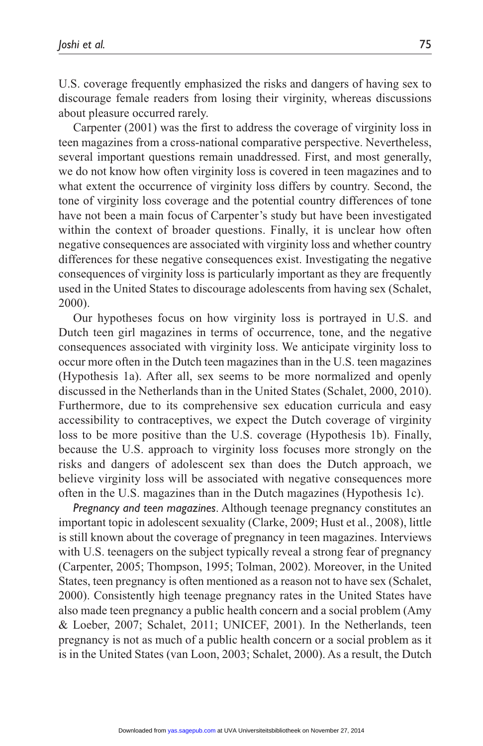U.S. coverage frequently emphasized the risks and dangers of having sex to discourage female readers from losing their virginity, whereas discussions about pleasure occurred rarely.

Carpenter (2001) was the first to address the coverage of virginity loss in teen magazines from a cross-national comparative perspective. Nevertheless, several important questions remain unaddressed. First, and most generally, we do not know how often virginity loss is covered in teen magazines and to what extent the occurrence of virginity loss differs by country. Second, the tone of virginity loss coverage and the potential country differences of tone have not been a main focus of Carpenter's study but have been investigated within the context of broader questions. Finally, it is unclear how often negative consequences are associated with virginity loss and whether country differences for these negative consequences exist. Investigating the negative consequences of virginity loss is particularly important as they are frequently used in the United States to discourage adolescents from having sex (Schalet, 2000).

Our hypotheses focus on how virginity loss is portrayed in U.S. and Dutch teen girl magazines in terms of occurrence, tone, and the negative consequences associated with virginity loss. We anticipate virginity loss to occur more often in the Dutch teen magazines than in the U.S. teen magazines (Hypothesis 1a). After all, sex seems to be more normalized and openly discussed in the Netherlands than in the United States (Schalet, 2000, 2010). Furthermore, due to its comprehensive sex education curricula and easy accessibility to contraceptives, we expect the Dutch coverage of virginity loss to be more positive than the U.S. coverage (Hypothesis 1b). Finally, because the U.S. approach to virginity loss focuses more strongly on the risks and dangers of adolescent sex than does the Dutch approach, we believe virginity loss will be associated with negative consequences more often in the U.S. magazines than in the Dutch magazines (Hypothesis 1c).

*Pregnancy and teen magazines*. Although teenage pregnancy constitutes an important topic in adolescent sexuality (Clarke, 2009; Hust et al., 2008), little is still known about the coverage of pregnancy in teen magazines. Interviews with U.S. teenagers on the subject typically reveal a strong fear of pregnancy (Carpenter, 2005; Thompson, 1995; Tolman, 2002). Moreover, in the United States, teen pregnancy is often mentioned as a reason not to have sex (Schalet, 2000). Consistently high teenage pregnancy rates in the United States have also made teen pregnancy a public health concern and a social problem (Amy & Loeber, 2007; Schalet, 2011; UNICEF, 2001). In the Netherlands, teen pregnancy is not as much of a public health concern or a social problem as it is in the United States (van Loon, 2003; Schalet, 2000). As a result, the Dutch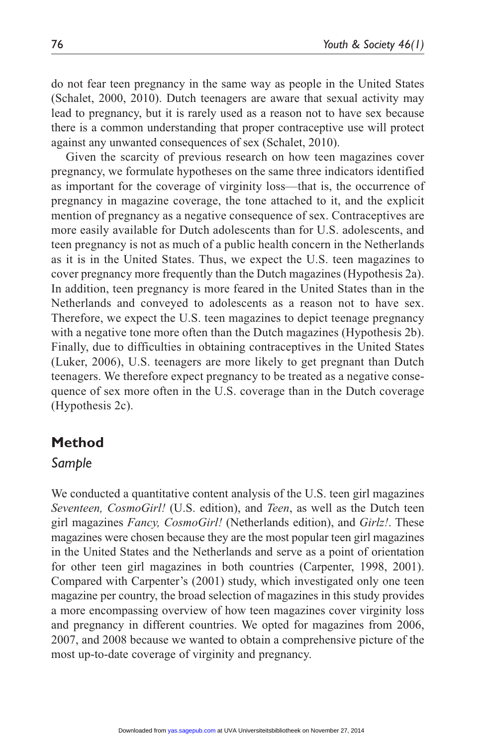do not fear teen pregnancy in the same way as people in the United States (Schalet, 2000, 2010). Dutch teenagers are aware that sexual activity may lead to pregnancy, but it is rarely used as a reason not to have sex because there is a common understanding that proper contraceptive use will protect against any unwanted consequences of sex (Schalet, 2010).

Given the scarcity of previous research on how teen magazines cover pregnancy, we formulate hypotheses on the same three indicators identified as important for the coverage of virginity loss—that is, the occurrence of pregnancy in magazine coverage, the tone attached to it, and the explicit mention of pregnancy as a negative consequence of sex. Contraceptives are more easily available for Dutch adolescents than for U.S. adolescents, and teen pregnancy is not as much of a public health concern in the Netherlands as it is in the United States. Thus, we expect the U.S. teen magazines to cover pregnancy more frequently than the Dutch magazines (Hypothesis 2a). In addition, teen pregnancy is more feared in the United States than in the Netherlands and conveyed to adolescents as a reason not to have sex. Therefore, we expect the U.S. teen magazines to depict teenage pregnancy with a negative tone more often than the Dutch magazines (Hypothesis 2b). Finally, due to difficulties in obtaining contraceptives in the United States (Luker, 2006), U.S. teenagers are more likely to get pregnant than Dutch teenagers. We therefore expect pregnancy to be treated as a negative consequence of sex more often in the U.S. coverage than in the Dutch coverage (Hypothesis 2c).

### **Method**

### *Sample*

We conducted a quantitative content analysis of the U.S. teen girl magazines *Seventeen, CosmoGirl!* (U.S. edition), and *Teen*, as well as the Dutch teen girl magazines *Fancy, CosmoGirl!* (Netherlands edition), and *Girlz!*. These magazines were chosen because they are the most popular teen girl magazines in the United States and the Netherlands and serve as a point of orientation for other teen girl magazines in both countries (Carpenter, 1998, 2001). Compared with Carpenter's (2001) study, which investigated only one teen magazine per country, the broad selection of magazines in this study provides a more encompassing overview of how teen magazines cover virginity loss and pregnancy in different countries. We opted for magazines from 2006, 2007, and 2008 because we wanted to obtain a comprehensive picture of the most up-to-date coverage of virginity and pregnancy.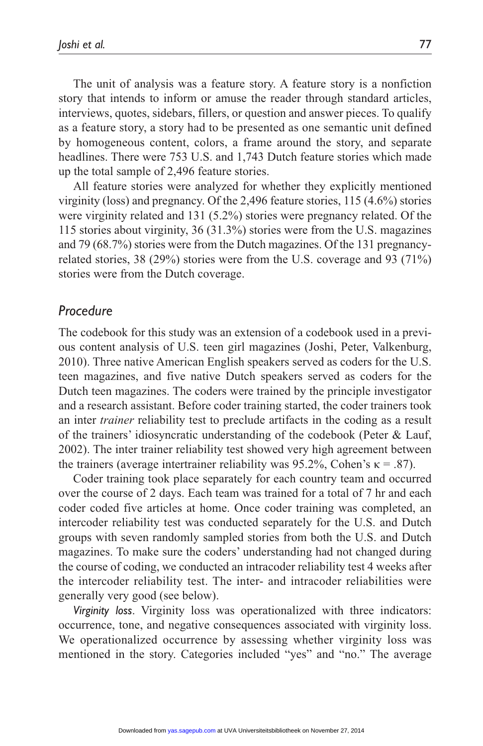The unit of analysis was a feature story. A feature story is a nonfiction story that intends to inform or amuse the reader through standard articles, interviews, quotes, sidebars, fillers, or question and answer pieces. To qualify as a feature story, a story had to be presented as one semantic unit defined by homogeneous content, colors, a frame around the story, and separate headlines. There were 753 U.S. and 1,743 Dutch feature stories which made up the total sample of 2,496 feature stories.

All feature stories were analyzed for whether they explicitly mentioned virginity (loss) and pregnancy. Of the 2,496 feature stories, 115 (4.6%) stories were virginity related and 131 (5.2%) stories were pregnancy related. Of the 115 stories about virginity, 36 (31.3%) stories were from the U.S. magazines and 79 (68.7%) stories were from the Dutch magazines. Of the 131 pregnancyrelated stories, 38 (29%) stories were from the U.S. coverage and 93 (71%) stories were from the Dutch coverage.

### *Procedure*

The codebook for this study was an extension of a codebook used in a previous content analysis of U.S. teen girl magazines (Joshi, Peter, Valkenburg, 2010). Three native American English speakers served as coders for the U.S. teen magazines, and five native Dutch speakers served as coders for the Dutch teen magazines. The coders were trained by the principle investigator and a research assistant. Before coder training started, the coder trainers took an inter *trainer* reliability test to preclude artifacts in the coding as a result of the trainers' idiosyncratic understanding of the codebook (Peter & Lauf, 2002). The inter trainer reliability test showed very high agreement between the trainers (average intertrainer reliability was 95.2%, Cohen's κ = .87).

Coder training took place separately for each country team and occurred over the course of 2 days. Each team was trained for a total of 7 hr and each coder coded five articles at home. Once coder training was completed, an intercoder reliability test was conducted separately for the U.S. and Dutch groups with seven randomly sampled stories from both the U.S. and Dutch magazines. To make sure the coders' understanding had not changed during the course of coding, we conducted an intracoder reliability test 4 weeks after the intercoder reliability test. The inter- and intracoder reliabilities were generally very good (see below).

*Virginity loss*. Virginity loss was operationalized with three indicators: occurrence, tone, and negative consequences associated with virginity loss. We operationalized occurrence by assessing whether virginity loss was mentioned in the story. Categories included "yes" and "no." The average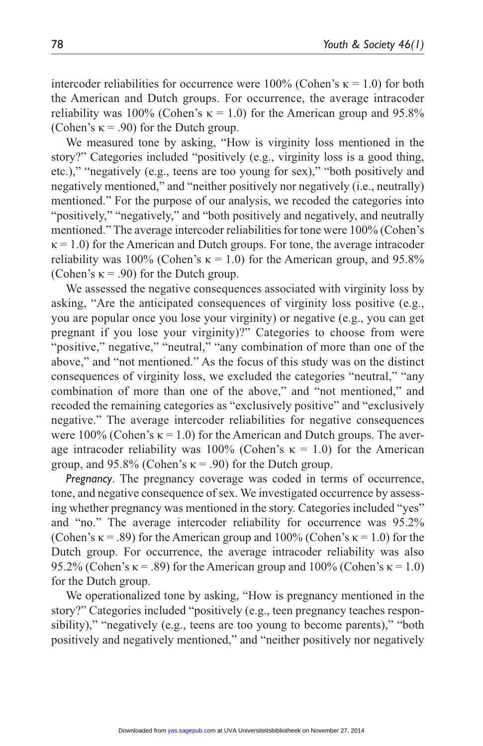intercoder reliabilities for occurrence were 100% (Cohen's  $\kappa = 1.0$ ) for both the American and Dutch groups. For occurrence, the average intracoder reliability was 100% (Cohen's  $\kappa = 1.0$ ) for the American group and 95.8% (Cohen's  $\kappa$  = .90) for the Dutch group.

We measured tone by asking, "How is virginity loss mentioned in the story?" Categories included "positively (e.g., virginity loss is a good thing, etc.)," "negatively (e.g., teens are too young for sex)," "both positively and negatively mentioned," and "neither positively nor negatively (i.e., neutrally) mentioned." For the purpose of our analysis, we recoded the categories into "positively," "negatively," and "both positively and negatively, and neutrally mentioned." The average intercoder reliabilities for tone were 100% (Cohen's  $\kappa$  = 1.0) for the American and Dutch groups. For tone, the average intracoder reliability was 100% (Cohen's  $\kappa = 1.0$ ) for the American group, and 95.8% (Cohen's  $\kappa$  = .90) for the Dutch group.

We assessed the negative consequences associated with virginity loss by asking, "Are the anticipated consequences of virginity loss positive (e.g., you are popular once you lose your virginity) or negative (e.g., you can get pregnant if you lose your virginity)?" Categories to choose from were "positive," negative," "neutral," "any combination of more than one of the above," and "not mentioned." As the focus of this study was on the distinct consequences of virginity loss, we excluded the categories "neutral," "any combination of more than one of the above," and "not mentioned," and recoded the remaining categories as "exclusively positive" and "exclusively negative." The average intercoder reliabilities for negative consequences were 100% (Cohen's  $\kappa$  = 1.0) for the American and Dutch groups. The average intracoder reliability was 100% (Cohen's  $\kappa = 1.0$ ) for the American group, and 95.8% (Cohen's  $\kappa$  = .90) for the Dutch group.

*Pregnancy*. The pregnancy coverage was coded in terms of occurrence, tone, and negative consequence of sex. We investigated occurrence by assessing whether pregnancy was mentioned in the story. Categories included "yes" and "no." The average intercoder reliability for occurrence was 95.2% (Cohen's  $\kappa$  = .89) for the American group and 100% (Cohen's  $\kappa$  = 1.0) for the Dutch group. For occurrence, the average intracoder reliability was also 95.2% (Cohen's  $\kappa$  = .89) for the American group and 100% (Cohen's  $\kappa$  = 1.0) for the Dutch group.

We operationalized tone by asking, "How is pregnancy mentioned in the story?" Categories included "positively (e.g., teen pregnancy teaches responsibility)," "negatively (e.g., teens are too young to become parents)," "both positively and negatively mentioned," and "neither positively nor negatively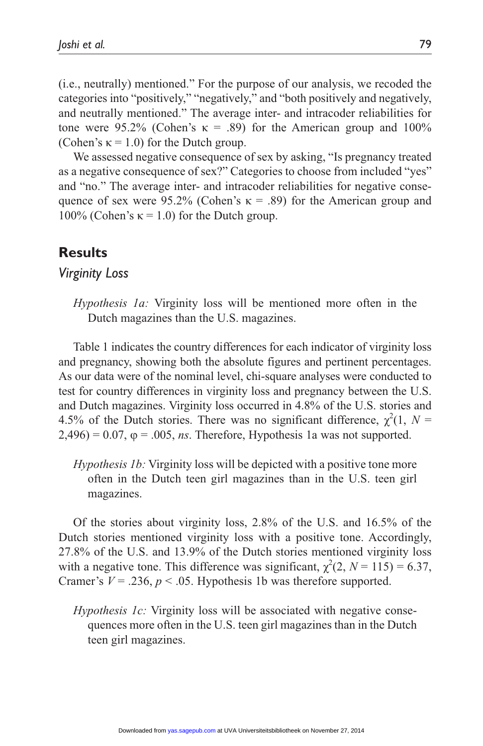(i.e., neutrally) mentioned." For the purpose of our analysis, we recoded the categories into "positively," "negatively," and "both positively and negatively, and neutrally mentioned." The average inter- and intracoder reliabilities for tone were 95.2% (Cohen's  $\kappa = .89$ ) for the American group and 100% (Cohen's  $\kappa = 1.0$ ) for the Dutch group.

We assessed negative consequence of sex by asking, "Is pregnancy treated as a negative consequence of sex?" Categories to choose from included "yes" and "no." The average inter- and intracoder reliabilities for negative consequence of sex were 95.2% (Cohen's  $\kappa$  = .89) for the American group and 100% (Cohen's  $\kappa$  = 1.0) for the Dutch group.

### **Results**

### *Virginity Loss*

*Hypothesis 1a:* Virginity loss will be mentioned more often in the Dutch magazines than the U.S. magazines.

Table 1 indicates the country differences for each indicator of virginity loss and pregnancy, showing both the absolute figures and pertinent percentages. As our data were of the nominal level, chi-square analyses were conducted to test for country differences in virginity loss and pregnancy between the U.S. and Dutch magazines. Virginity loss occurred in 4.8% of the U.S. stories and 4.5% of the Dutch stories. There was no significant difference,  $\chi^2(1, N =$  $2,496$ ) = 0.07,  $\varphi$  = .005, *ns*. Therefore, Hypothesis 1a was not supported.

*Hypothesis 1b:* Virginity loss will be depicted with a positive tone more often in the Dutch teen girl magazines than in the U.S. teen girl magazines.

Of the stories about virginity loss, 2.8% of the U.S. and 16.5% of the Dutch stories mentioned virginity loss with a positive tone. Accordingly, 27.8% of the U.S. and 13.9% of the Dutch stories mentioned virginity loss with a negative tone. This difference was significant,  $\chi^2(2, N = 115) = 6.37$ , Cramer's  $V = 0.236$ ,  $p < 0.05$ . Hypothesis 1b was therefore supported.

*Hypothesis 1c:* Virginity loss will be associated with negative consequences more often in the U.S. teen girl magazines than in the Dutch teen girl magazines.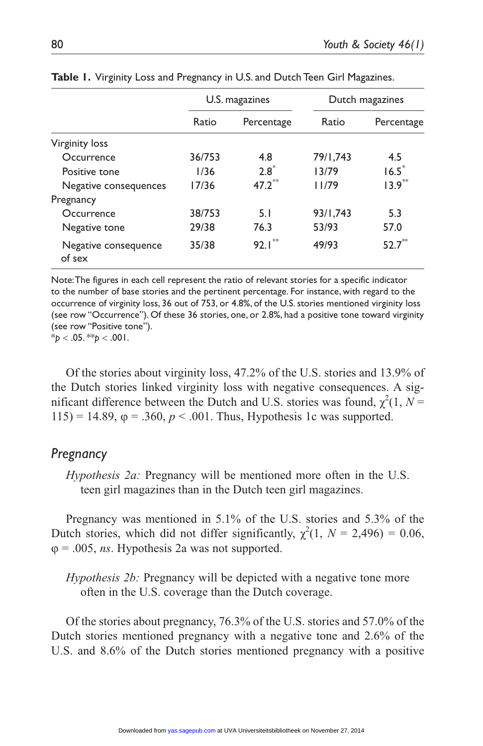|                                | U.S. magazines |             | Dutch magazines |             |
|--------------------------------|----------------|-------------|-----------------|-------------|
|                                | Ratio          | Percentage  | Ratio           | Percentage  |
| <b>Virginity loss</b>          |                |             |                 |             |
| Occurrence                     | 36/753         | 4.8         | 79/1,743        | 4.5         |
| Positive tone                  | 1/36           | $2.8^*$     | 13/79           | $16.5^*$    |
| Negative consequences          | 17/36          | $47.2^{**}$ | 11/79           | $13.9***$   |
| Pregnancy                      |                |             |                 |             |
| Occurrence                     | 38/753         | 5.1         | 93/1,743        | 5.3         |
| Negative tone                  | 29/38          | 76.3        | 53/93           | 57.0        |
| Negative consequence<br>of sex | 35/38          | $92.1***$   | 49/93           | $52.7^{**}$ |

**Table 1.** Virginity Loss and Pregnancy in U.S. and Dutch Teen Girl Magazines.

Note: The figures in each cell represent the ratio of relevant stories for a specific indicator to the number of base stories and the pertinent percentage. For instance, with regard to the occurrence of virginity loss, 36 out of 753, or 4.8%, of the U.S. stories mentioned virginity loss (see row "Occurrence"). Of these 36 stories, one, or 2.8%, had a positive tone toward virginity (see row "Positive tone").

 $*_{p}$  < .05.  $*_{p}$  < .001.

Of the stories about virginity loss, 47.2% of the U.S. stories and 13.9% of the Dutch stories linked virginity loss with negative consequences. A significant difference between the Dutch and U.S. stories was found,  $\chi^2(1, N =$ 115) = 14.89,  $\varphi$  = .360,  $p < .001$ . Thus, Hypothesis 1c was supported.

### *Pregnancy*

*Hypothesis 2a:* Pregnancy will be mentioned more often in the U.S. teen girl magazines than in the Dutch teen girl magazines.

Pregnancy was mentioned in 5.1% of the U.S. stories and 5.3% of the Dutch stories, which did not differ significantly,  $\chi^2(1, N = 2,496) = 0.06$ , ϕ = .005, *ns*. Hypothesis 2a was not supported.

*Hypothesis 2b:* Pregnancy will be depicted with a negative tone more often in the U.S. coverage than the Dutch coverage.

Of the stories about pregnancy, 76.3% of the U.S. stories and 57.0% of the Dutch stories mentioned pregnancy with a negative tone and 2.6% of the U.S. and 8.6% of the Dutch stories mentioned pregnancy with a positive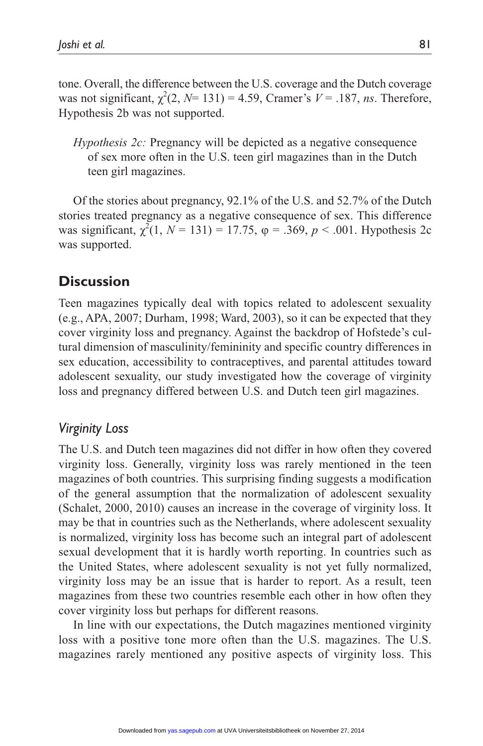tone. Overall, the difference between the U.S. coverage and the Dutch coverage was not significant,  $\chi^2(2, N=131) = 4.59$ , Cramer's  $V = .187$ , *ns*. Therefore, Hypothesis 2b was not supported.

*Hypothesis 2c:* Pregnancy will be depicted as a negative consequence of sex more often in the U.S. teen girl magazines than in the Dutch teen girl magazines.

Of the stories about pregnancy, 92.1% of the U.S. and 52.7% of the Dutch stories treated pregnancy as a negative consequence of sex. This difference was significant,  $\chi^2(1, N = 131) = 17.75$ ,  $\varphi = .369$ ,  $p < .001$ . Hypothesis 2c was supported.

### **Discussion**

Teen magazines typically deal with topics related to adolescent sexuality (e.g., APA, 2007; Durham, 1998; Ward, 2003), so it can be expected that they cover virginity loss and pregnancy. Against the backdrop of Hofstede's cultural dimension of masculinity/femininity and specific country differences in sex education, accessibility to contraceptives, and parental attitudes toward adolescent sexuality, our study investigated how the coverage of virginity loss and pregnancy differed between U.S. and Dutch teen girl magazines.

### *Virginity Loss*

The U.S. and Dutch teen magazines did not differ in how often they covered virginity loss. Generally, virginity loss was rarely mentioned in the teen magazines of both countries. This surprising finding suggests a modification of the general assumption that the normalization of adolescent sexuality (Schalet, 2000, 2010) causes an increase in the coverage of virginity loss. It may be that in countries such as the Netherlands, where adolescent sexuality is normalized, virginity loss has become such an integral part of adolescent sexual development that it is hardly worth reporting. In countries such as the United States, where adolescent sexuality is not yet fully normalized, virginity loss may be an issue that is harder to report. As a result, teen magazines from these two countries resemble each other in how often they cover virginity loss but perhaps for different reasons.

In line with our expectations, the Dutch magazines mentioned virginity loss with a positive tone more often than the U.S. magazines. The U.S. magazines rarely mentioned any positive aspects of virginity loss. This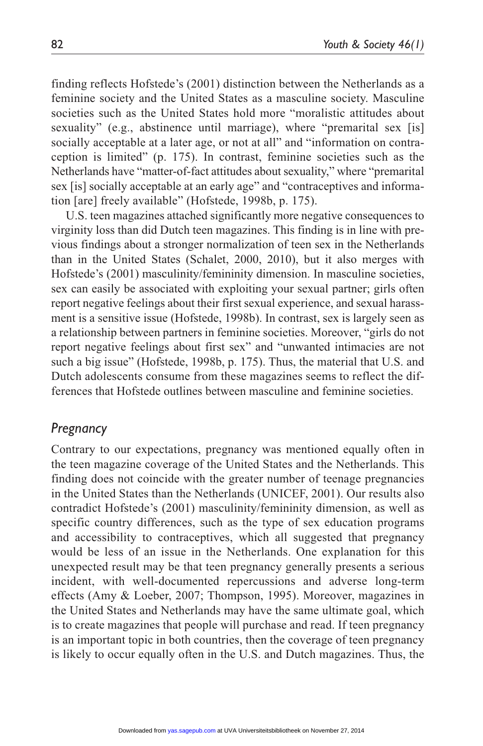finding reflects Hofstede's (2001) distinction between the Netherlands as a feminine society and the United States as a masculine society. Masculine societies such as the United States hold more "moralistic attitudes about sexuality" (e.g., abstinence until marriage), where "premarital sex [is] socially acceptable at a later age, or not at all" and "information on contraception is limited" (p. 175). In contrast, feminine societies such as the Netherlands have "matter-of-fact attitudes about sexuality," where "premarital sex [is] socially acceptable at an early age" and "contraceptives and information [are] freely available" (Hofstede, 1998b, p. 175).

U.S. teen magazines attached significantly more negative consequences to virginity loss than did Dutch teen magazines. This finding is in line with previous findings about a stronger normalization of teen sex in the Netherlands than in the United States (Schalet, 2000, 2010), but it also merges with Hofstede's (2001) masculinity/femininity dimension. In masculine societies, sex can easily be associated with exploiting your sexual partner; girls often report negative feelings about their first sexual experience, and sexual harassment is a sensitive issue (Hofstede, 1998b). In contrast, sex is largely seen as a relationship between partners in feminine societies. Moreover, "girls do not report negative feelings about first sex" and "unwanted intimacies are not such a big issue" (Hofstede, 1998b, p. 175). Thus, the material that U.S. and Dutch adolescents consume from these magazines seems to reflect the differences that Hofstede outlines between masculine and feminine societies.

### *Pregnancy*

Contrary to our expectations, pregnancy was mentioned equally often in the teen magazine coverage of the United States and the Netherlands. This finding does not coincide with the greater number of teenage pregnancies in the United States than the Netherlands (UNICEF, 2001). Our results also contradict Hofstede's (2001) masculinity/femininity dimension, as well as specific country differences, such as the type of sex education programs and accessibility to contraceptives, which all suggested that pregnancy would be less of an issue in the Netherlands. One explanation for this unexpected result may be that teen pregnancy generally presents a serious incident, with well-documented repercussions and adverse long-term effects (Amy & Loeber, 2007; Thompson, 1995). Moreover, magazines in the United States and Netherlands may have the same ultimate goal, which is to create magazines that people will purchase and read. If teen pregnancy is an important topic in both countries, then the coverage of teen pregnancy is likely to occur equally often in the U.S. and Dutch magazines. Thus, the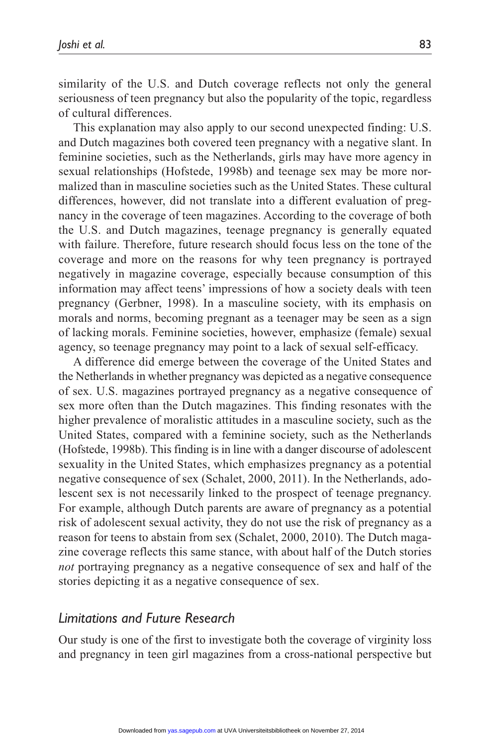similarity of the U.S. and Dutch coverage reflects not only the general seriousness of teen pregnancy but also the popularity of the topic, regardless of cultural differences.

This explanation may also apply to our second unexpected finding: U.S. and Dutch magazines both covered teen pregnancy with a negative slant. In feminine societies, such as the Netherlands, girls may have more agency in sexual relationships (Hofstede, 1998b) and teenage sex may be more normalized than in masculine societies such as the United States. These cultural differences, however, did not translate into a different evaluation of pregnancy in the coverage of teen magazines. According to the coverage of both the U.S. and Dutch magazines, teenage pregnancy is generally equated with failure. Therefore, future research should focus less on the tone of the coverage and more on the reasons for why teen pregnancy is portrayed negatively in magazine coverage, especially because consumption of this information may affect teens' impressions of how a society deals with teen pregnancy (Gerbner, 1998). In a masculine society, with its emphasis on morals and norms, becoming pregnant as a teenager may be seen as a sign of lacking morals. Feminine societies, however, emphasize (female) sexual agency, so teenage pregnancy may point to a lack of sexual self-efficacy.

A difference did emerge between the coverage of the United States and the Netherlands in whether pregnancy was depicted as a negative consequence of sex. U.S. magazines portrayed pregnancy as a negative consequence of sex more often than the Dutch magazines. This finding resonates with the higher prevalence of moralistic attitudes in a masculine society, such as the United States, compared with a feminine society, such as the Netherlands (Hofstede, 1998b). This finding is in line with a danger discourse of adolescent sexuality in the United States, which emphasizes pregnancy as a potential negative consequence of sex (Schalet, 2000, 2011). In the Netherlands, adolescent sex is not necessarily linked to the prospect of teenage pregnancy. For example, although Dutch parents are aware of pregnancy as a potential risk of adolescent sexual activity, they do not use the risk of pregnancy as a reason for teens to abstain from sex (Schalet, 2000, 2010). The Dutch magazine coverage reflects this same stance, with about half of the Dutch stories *not* portraying pregnancy as a negative consequence of sex and half of the stories depicting it as a negative consequence of sex.

### *Limitations and Future Research*

Our study is one of the first to investigate both the coverage of virginity loss and pregnancy in teen girl magazines from a cross-national perspective but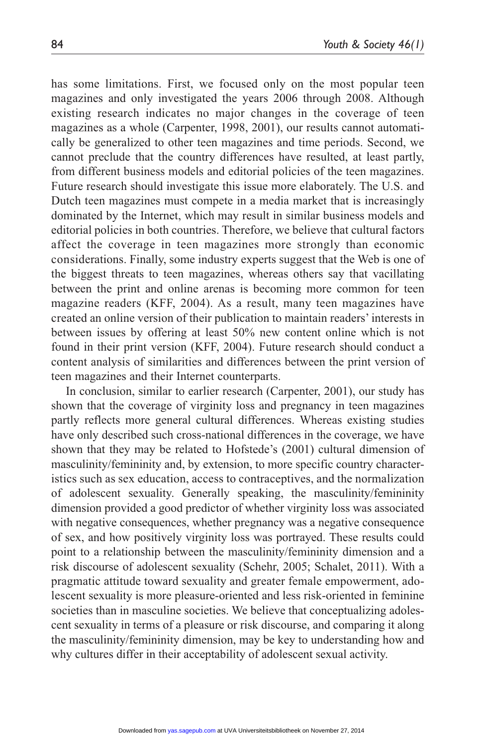has some limitations. First, we focused only on the most popular teen magazines and only investigated the years 2006 through 2008. Although existing research indicates no major changes in the coverage of teen magazines as a whole (Carpenter, 1998, 2001), our results cannot automatically be generalized to other teen magazines and time periods. Second, we cannot preclude that the country differences have resulted, at least partly, from different business models and editorial policies of the teen magazines. Future research should investigate this issue more elaborately. The U.S. and Dutch teen magazines must compete in a media market that is increasingly dominated by the Internet, which may result in similar business models and editorial policies in both countries. Therefore, we believe that cultural factors affect the coverage in teen magazines more strongly than economic considerations. Finally, some industry experts suggest that the Web is one of the biggest threats to teen magazines, whereas others say that vacillating between the print and online arenas is becoming more common for teen magazine readers (KFF, 2004). As a result, many teen magazines have created an online version of their publication to maintain readers' interests in between issues by offering at least 50% new content online which is not found in their print version (KFF, 2004). Future research should conduct a content analysis of similarities and differences between the print version of teen magazines and their Internet counterparts.

In conclusion, similar to earlier research (Carpenter, 2001), our study has shown that the coverage of virginity loss and pregnancy in teen magazines partly reflects more general cultural differences. Whereas existing studies have only described such cross-national differences in the coverage, we have shown that they may be related to Hofstede's (2001) cultural dimension of masculinity/femininity and, by extension, to more specific country characteristics such as sex education, access to contraceptives, and the normalization of adolescent sexuality. Generally speaking, the masculinity/femininity dimension provided a good predictor of whether virginity loss was associated with negative consequences, whether pregnancy was a negative consequence of sex, and how positively virginity loss was portrayed. These results could point to a relationship between the masculinity/femininity dimension and a risk discourse of adolescent sexuality (Schehr, 2005; Schalet, 2011). With a pragmatic attitude toward sexuality and greater female empowerment, adolescent sexuality is more pleasure-oriented and less risk-oriented in feminine societies than in masculine societies. We believe that conceptualizing adolescent sexuality in terms of a pleasure or risk discourse, and comparing it along the masculinity/femininity dimension, may be key to understanding how and why cultures differ in their acceptability of adolescent sexual activity.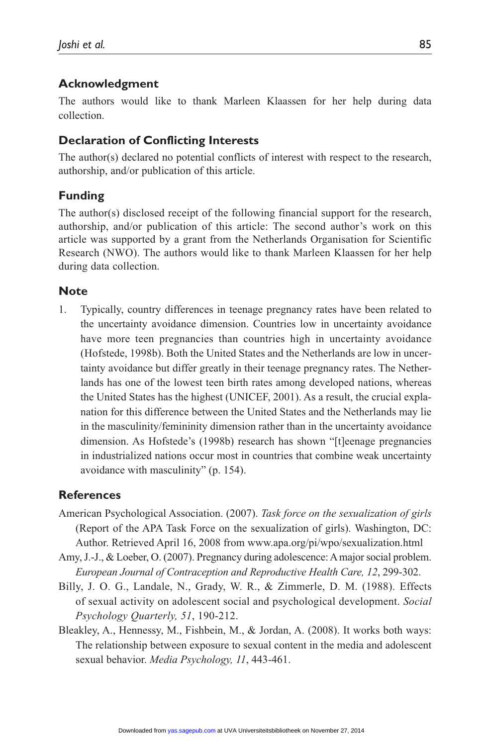### **Acknowledgment**

The authors would like to thank Marleen Klaassen for her help during data collection.

### **Declaration of Conflicting Interests**

The author(s) declared no potential conflicts of interest with respect to the research, authorship, and/or publication of this article.

### **Funding**

The author(s) disclosed receipt of the following financial support for the research, authorship, and/or publication of this article: The second author's work on this article was supported by a grant from the Netherlands Organisation for Scientific Research (NWO). The authors would like to thank Marleen Klaassen for her help during data collection.

### **Note**

1. Typically, country differences in teenage pregnancy rates have been related to the uncertainty avoidance dimension. Countries low in uncertainty avoidance have more teen pregnancies than countries high in uncertainty avoidance (Hofstede, 1998b). Both the United States and the Netherlands are low in uncertainty avoidance but differ greatly in their teenage pregnancy rates. The Netherlands has one of the lowest teen birth rates among developed nations, whereas the United States has the highest (UNICEF, 2001). As a result, the crucial explanation for this difference between the United States and the Netherlands may lie in the masculinity/femininity dimension rather than in the uncertainty avoidance dimension. As Hofstede's (1998b) research has shown "[t]eenage pregnancies in industrialized nations occur most in countries that combine weak uncertainty avoidance with masculinity" (p. 154).

### **References**

- American Psychological Association. (2007). *Task force on the sexualization of girls* (Report of the APA Task Force on the sexualization of girls). Washington, DC: Author. Retrieved April 16, 2008 from www.apa.org/pi/wpo/sexualization.html
- Amy, J.-J., & Loeber, O. (2007). Pregnancy during adolescence: A major social problem. *European Journal of Contraception and Reproductive Health Care, 12*, 299-302.
- Billy, J. O. G., Landale, N., Grady, W. R., & Zimmerle, D. M. (1988). Effects of sexual activity on adolescent social and psychological development. *Social Psychology Quarterly, 51*, 190-212.
- Bleakley, A., Hennessy, M., Fishbein, M., & Jordan, A. (2008). It works both ways: The relationship between exposure to sexual content in the media and adolescent sexual behavior. *Media Psychology, 11*, 443-461.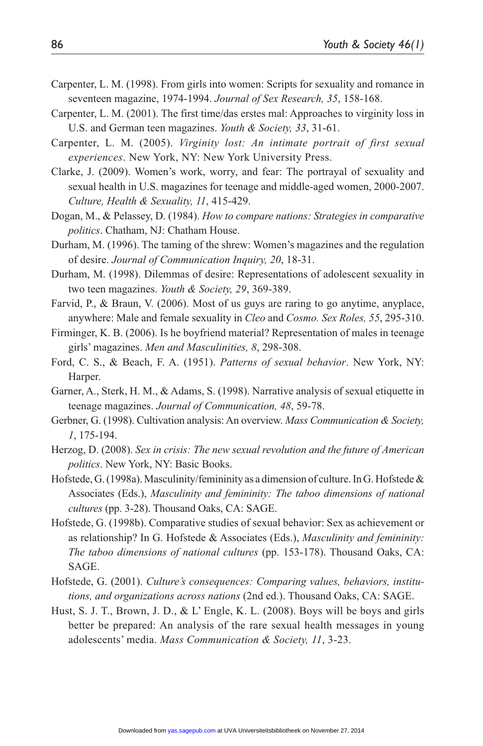- Carpenter, L. M. (1998). From girls into women: Scripts for sexuality and romance in seventeen magazine, 1974-1994. *Journal of Sex Research, 35*, 158-168.
- Carpenter, L. M. (2001). The first time/das erstes mal: Approaches to virginity loss in U.S. and German teen magazines. *Youth & Society, 33*, 31-61.
- Carpenter, L. M. (2005). *Virginity lost: An intimate portrait of first sexual experiences*. New York, NY: New York University Press.
- Clarke, J. (2009). Women's work, worry, and fear: The portrayal of sexuality and sexual health in U.S. magazines for teenage and middle-aged women, 2000-2007. *Culture, Health & Sexuality, 11*, 415-429.
- Dogan, M., & Pelassey, D. (1984). *How to compare nations: Strategies in comparative politics*. Chatham, NJ: Chatham House.
- Durham, M. (1996). The taming of the shrew: Women's magazines and the regulation of desire. *Journal of Communication Inquiry, 20*, 18-31.
- Durham, M. (1998). Dilemmas of desire: Representations of adolescent sexuality in two teen magazines. *Youth & Society, 29*, 369-389.
- Farvid, P., & Braun, V. (2006). Most of us guys are raring to go anytime, anyplace, anywhere: Male and female sexuality in *Cleo* and *Cosmo. Sex Roles, 55*, 295-310.
- Firminger, K. B. (2006). Is he boyfriend material? Representation of males in teenage girls' magazines. *Men and Masculinities, 8*, 298-308.
- Ford, C. S., & Beach, F. A. (1951). *Patterns of sexual behavior*. New York, NY: Harper.
- Garner, A., Sterk, H. M., & Adams, S. (1998). Narrative analysis of sexual etiquette in teenage magazines. *Journal of Communication, 48*, 59-78.
- Gerbner, G. (1998). Cultivation analysis: An overview. *Mass Communication & Society, 1*, 175-194.
- Herzog, D. (2008). *Sex in crisis: The new sexual revolution and the future of American politics*. New York, NY: Basic Books.
- Hofstede, G. (1998a). Masculinity/femininity as a dimension of culture. In G. Hofstede & Associates (Eds.), *Masculinity and femininity: The taboo dimensions of national cultures* (pp. 3-28). Thousand Oaks, CA: SAGE.
- Hofstede, G. (1998b). Comparative studies of sexual behavior: Sex as achievement or as relationship? In G. Hofstede & Associates (Eds.), *Masculinity and femininity: The taboo dimensions of national cultures* (pp. 153-178). Thousand Oaks, CA: SAGE.
- Hofstede, G. (2001). *Culture's consequences: Comparing values, behaviors, institutions, and organizations across nations* (2nd ed.). Thousand Oaks, CA: SAGE.
- Hust, S. J. T., Brown, J. D., & L' Engle, K. L. (2008). Boys will be boys and girls better be prepared: An analysis of the rare sexual health messages in young adolescents' media. *Mass Communication & Society, 11*, 3-23.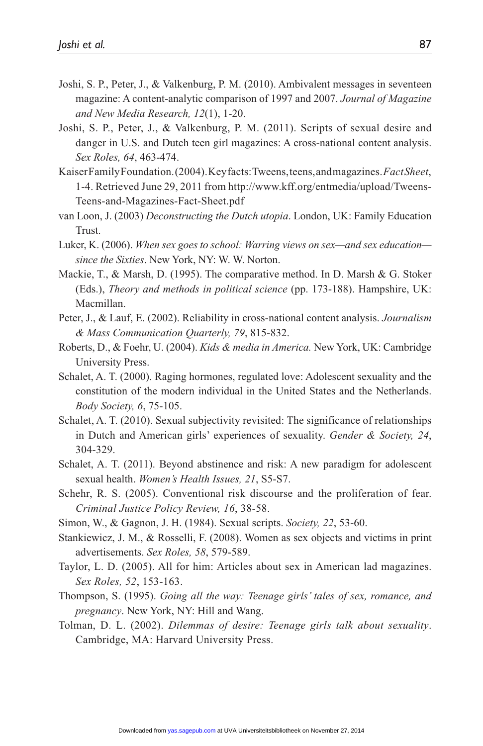- Joshi, S. P., Peter, J., & Valkenburg, P. M. (2010). Ambivalent messages in seventeen magazine: A content-analytic comparison of 1997 and 2007. *Journal of Magazine and New Media Research, 12*(1), 1-20.
- Joshi, S. P., Peter, J., & Valkenburg, P. M. (2011). Scripts of sexual desire and danger in U.S. and Dutch teen girl magazines: A cross-national content analysis. *Sex Roles, 64*, 463-474.
- Kaiser Family Foundation. (2004). Key facts: Tweens, teens, and magazines. *Fact Sheet*, 1-4. Retrieved June 29, 2011 from http://www.kff.org/entmedia/upload/Tweens-Teens-and-Magazines-Fact-Sheet.pdf
- van Loon, J. (2003) *Deconstructing the Dutch utopia*. London, UK: Family Education Trust.
- Luker, K. (2006). *When sex goes to school: Warring views on sex—and sex education since the Sixties*. New York, NY: W. W. Norton.
- Mackie, T., & Marsh, D. (1995). The comparative method. In D. Marsh & G. Stoker (Eds.), *Theory and methods in political science* (pp. 173-188). Hampshire, UK: Macmillan.
- Peter, J., & Lauf, E. (2002). Reliability in cross-national content analysis. *Journalism & Mass Communication Quarterly, 79*, 815-832.
- Roberts, D., & Foehr, U. (2004). *Kids & media in America.* New York, UK: Cambridge University Press.
- Schalet, A. T. (2000). Raging hormones, regulated love: Adolescent sexuality and the constitution of the modern individual in the United States and the Netherlands. *Body Society, 6*, 75-105.
- Schalet, A. T. (2010). Sexual subjectivity revisited: The significance of relationships in Dutch and American girls' experiences of sexuality. *Gender & Society, 24*, 304-329.
- Schalet, A. T. (2011). Beyond abstinence and risk: A new paradigm for adolescent sexual health. *Women's Health Issues, 21*, S5-S7.
- Schehr, R. S. (2005). Conventional risk discourse and the proliferation of fear. *Criminal Justice Policy Review, 16*, 38-58.
- Simon, W., & Gagnon, J. H. (1984). Sexual scripts. *Society, 22*, 53-60.
- Stankiewicz, J. M., & Rosselli, F. (2008). Women as sex objects and victims in print advertisements. *Sex Roles, 58*, 579-589.
- Taylor, L. D. (2005). All for him: Articles about sex in American lad magazines. *Sex Roles, 52*, 153-163.
- Thompson, S. (1995). *Going all the way: Teenage girls' tales of sex, romance, and pregnancy*. New York, NY: Hill and Wang.
- Tolman, D. L. (2002). *Dilemmas of desire: Teenage girls talk about sexuality*. Cambridge, MA: Harvard University Press.